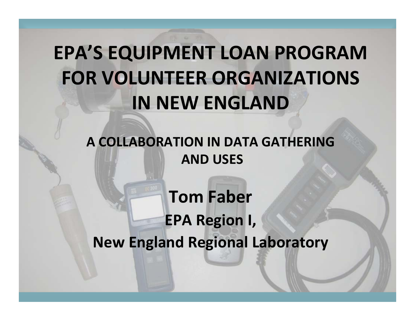## **EPA'S EQUIPMENT LOAN PROGRAM FOR VOLUNTEER ORGANIZATIONS IN NEW ENGLAND**

**A COLLABORATION IN DATA GATHERING AND USES**

**Tom Faber EPA Region I, New England Regional Laboratory**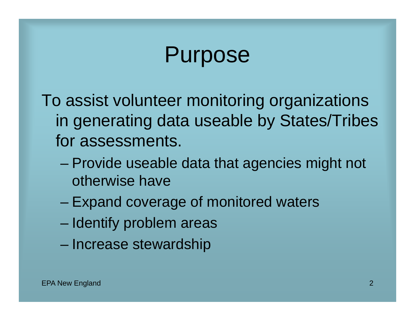## Purpose

To assist volunteer monitoring organizations in generating data useable by States/Tribes for assessments.

- Provide useable data that agencies might not otherwise have
- Expand coverage of monitored waters
- Identify problem areas
- Increase stewardship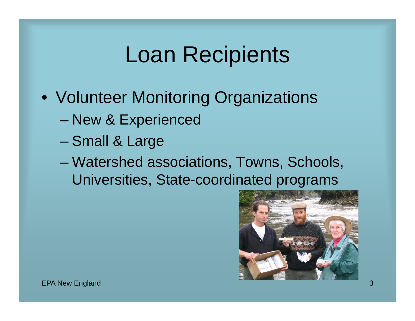#### Loan Recipients

- Volunteer Monitoring Organizations
	- New & Experienced
	- Small & Large
	- Watershed associations, Towns, Schools, Universities, State-coordinated programs

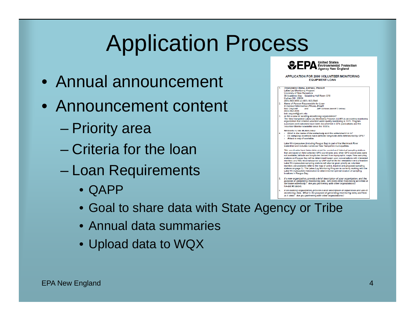# Application Process

- Annual announcement
- •Announcement content
	- Priority area
	- Criteria for the loan
	- Loan Requirements
		- QAPP
		- Goal to share data with State Agency or Tribe
		- •Annual data summaries
		- Upload data to WQX



APPLICATION FOR 2009 VOLUNTEER MONITORING **FOUIPMENT LOAN** 



If an existing orga nization, provide a brief description of experience and use of monitoring data. What is the purpose of generating monitoring data, and how is it used? Are you partnering with other organizations?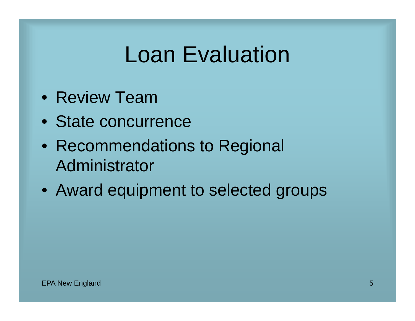### Loan Evaluation

- Review Team
- State concurrence
- $\bullet\,$  Recommendations to Regional Administrator
- Award equipment to selected groups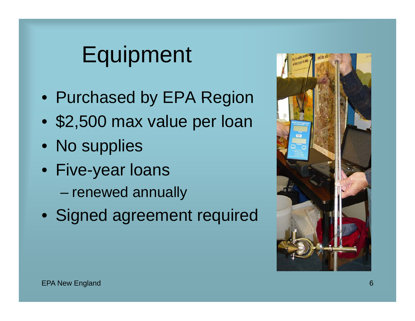## Equipment

- Purchased by EPA Region
- $\bullet$ \$2,500 max value per loan
- No supplies
- Five-year loans
	- renewed annually
- Signed agreement required

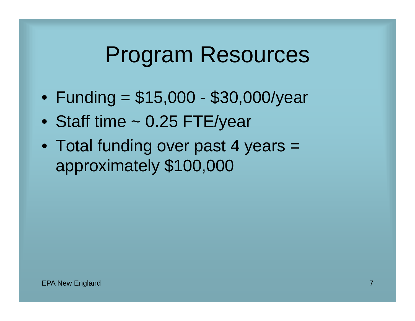#### Program Resources

- $\bullet$ • Funding = \$15,000 - \$30,000/year
- Staff time ~ 0.25 FTE/year
- Total funding over past 4 years = approximately \$100,000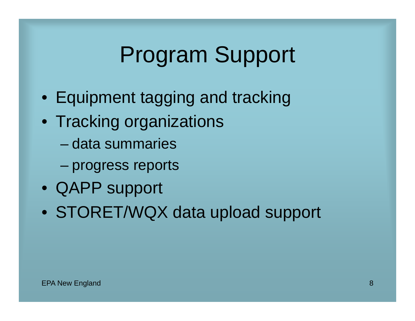## Program Support

- Equipment tagging and tracking
- Tracking organizations
	- data summaries
	- –progress reports
- QAPP support
- STORET/WQX data upload support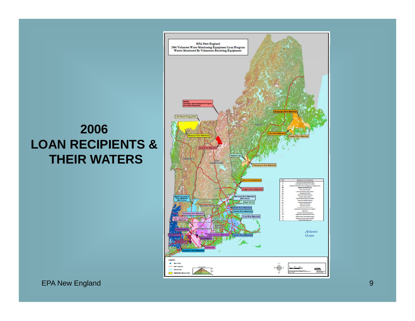

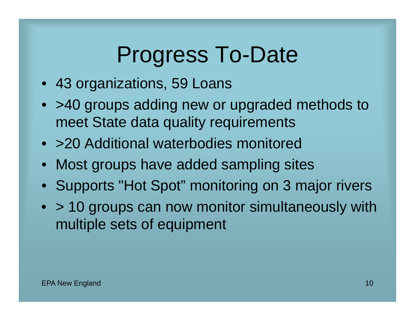## Progress To-Date

- 43 organizations, 59 Loans
- >40 groups adding new or upgraded methods to meet State data quality requirements
- >20 Additional waterbodies monitored
- Most groups have added sampling sites
- Supports "Hot Spot" monitoring on 3 major rivers
- > 10 groups can now monitor simultaneously with multiple sets of equipment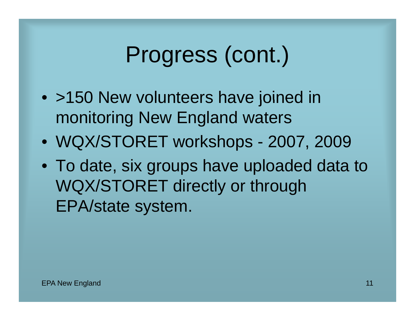#### Progress (cont.) .

- >150 New volunteers have joined in monitoring New England waters
- WQX/STORET workshops 2007, 2009
- To date, six groups have uploaded data to WQX/STORET directly or through EPA/state system.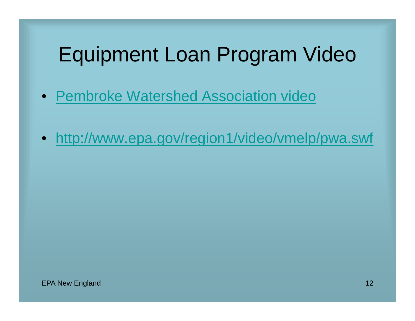#### Equipment Loan Program Video

- Pembroke Watershed Association video
- http://www epa gov/region1/video/vmelp/pwa swf http://www.epa.gov/region1/video/vmelp/pwa.swf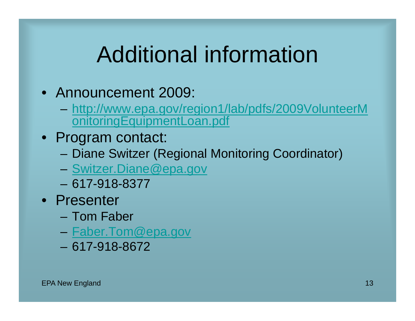## Additional information

- Announcement 2009:
	- http://www.epa.gov/region1/lab/pdfs/2009VolunteerM onitoringEquipmentLoan.pdf
- Program contact:
	- Diane Switzer (Regional Monitoring Coordinator)
	- <u>Switzer.Diane@epa.gov</u>
	- 617 -918 -8377
- Presenter
	- Tom Faber
	- <u>Faber.Tom@epa.gov</u>
	- 617-918-8672